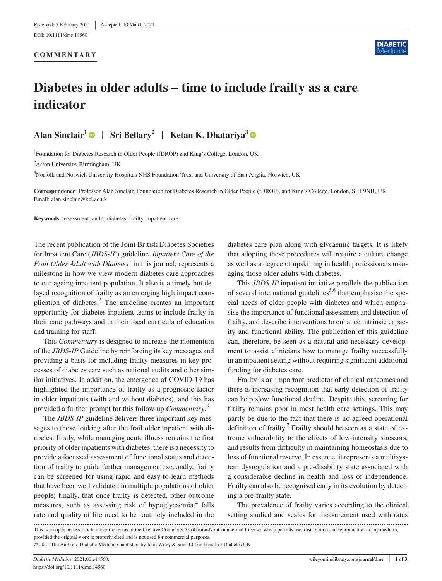## **COMMENTARY**



# **Diabetes in older adults – time to include frailty as a care indicator**

**Alan Sinclair1** | **Sri Bellary<sup>2</sup>** | **Ketan K. Dhatariya<sup>3</sup>**

<sup>1</sup>Foundation for Diabetes Research in Older People (fDROP) and King's College, London, UK

<sup>2</sup>Aston University, Birmingham, UK

<sup>3</sup>Norfolk and Norwich University Hospitals NHS Foundation Trust and University of East Anglia, Norwich, UK

**Correspondence**: Professor Alan Sinclair, Foundation for Diabetes Research in Older People (fDROP), and King's College, London, SE1 9NH, UK. Email: [alan.sinclair@kcl.ac.uk](mailto:alan.sinclair@kcl.ac.uk)

**Keywords:** assessment, audit, diabetes, frailty, inpatient care

The recent publication of the Joint British Diabetes Societies for Inpatient Care (*JBDS*-*IP*) guideline, *Inpatient Care of the Frail Older Adult with Diabetes*<sup>1</sup> in this journal, represents a milestone in how we view modern diabetes care approaches to our ageing inpatient population. It also is a timely but delayed recognition of frailty as an emerging high impact complication of diabetes.<sup>2</sup> The guideline creates an important opportunity for diabetes inpatient teams to include frailty in their care pathways and in their local curricula of education and training for staff.

This *Commentary* is designed to increase the momentum of the *JBDS*-*IP* Guideline by reinforcing its key messages and providing a basis for including frailty measures in key processes of diabetes care such as national audits and other similar initiatives. In addition, the emergence of COVID-19 has highlighted the importance of frailty as a prognostic factor in older inpatients (with and without diabetes), and this has provided a further prompt for this follow-up *Commentary*. 3

The *JBDS*-*IP* guideline delivers three important key messages to those looking after the frail older inpatient with diabetes: firstly, while managing acute illness remains the first priority of older inpatients with diabetes, there is a necessity to provide a focussed assessment of functional status and detection of frailty to guide further management; secondly, frailty can be screened for using rapid and easy-to-learn methods that have been well validated in multiple populations of older people; finally, that once frailty is detected, other outcome measures, such as assessing risk of hypoglycaemia,<sup>4</sup> falls rate and quality of life need to be routinely included in the

diabetes care plan along with glycaemic targets. It is likely that adopting these procedures will require a culture change as well as a degree of upskilling in health professionals managing those older adults with diabetes.

This *JBDS*-*IP* inpatient initiative parallels the publication of several international guidelines<sup>5,6</sup> that emphasise the special needs of older people with diabetes and which emphasise the importance of functional assessment and detection of frailty, and describe interventions to enhance intrinsic capacity and functional ability. The publication of this guideline can, therefore, be seen as a natural and necessary development to assist clinicians how to manage frailty successfully in an inpatient setting without requiring significant additional funding for diabetes care.

Frailty is an important predictor of clinical outcomes and there is increasing recognition that early detection of frailty can help slow functional decline. Despite this, screening for frailty remains poor in most health care settings. This may partly be due to the fact that there is no agreed operational definition of frailty.<sup>7</sup> Frailty should be seen as a state of extreme vulnerability to the effects of low-intensity stressors, and results from difficulty in maintaining homeostasis due to loss of functional reserve. In essence, it represents a multisystem dysregulation and a pre-disability state associated with a considerable decline in health and loss of independence. Frailty can also be recognised early in its evolution by detecting a pre-frailty state.

The prevalence of frailty varies according to the clinical setting studied and scales for measurement used with rates

This is an open access article under the terms of the [Creative Commons Attribution-NonCommercial](http://creativecommons.org/licenses/by-nc/4.0/) License, which permits use, distribution and reproduction in any medium, provided the original work is properly cited and is not used for commercial purposes.

<sup>© 2021</sup> The Authors. Diabetic Medicine published by John Wiley & Sons Ltd on behalf of Diabetes UK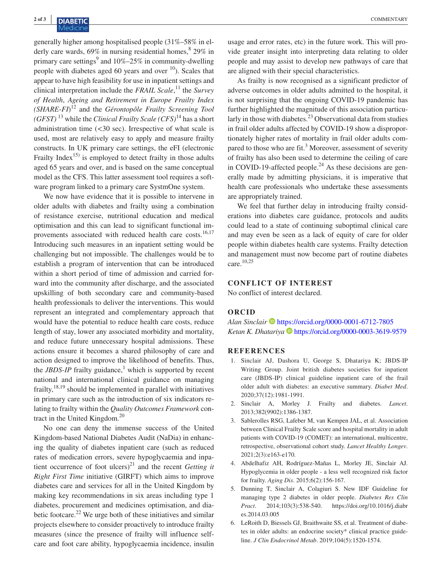generally higher among hospitalised people (31%–58% in elderly care wards,  $69\%$  in nursing residential homes,  $8\frac{29\%}{10\%}$  in primary care settings<sup>9</sup> and  $10\% - 25\%$  in community-dwelling people with diabetes aged 60 years and over  $\frac{10}{2}$ . Scales that appear to have high feasibility for use in inpatient settings and clinical interpretation include the *FRAIL Scale*, 11 the *Survey of Health*, *Ageing and Retirement in Europe Frailty Index (SHARE*-*FI*) 12 and the *Gérontopôle Frailty Screening Tool*   $(GFST)^{13}$  while the *Clinical Frailty Scale*  $(CFS)^{14}$  has a short administration time (<30 sec). Irrespective of what scale is used, most are relatively easy to apply and measure frailty constructs. In UK primary care settings, the eFI (electronic Frailty Index<sup>15)</sup> is employed to detect frailty in those adults aged 65 years and over, and is based on the same conceptual model as the CFS. This latter assessment tool requires a software program linked to a primary care SystmOne system.

We now have evidence that it is possible to intervene in older adults with diabetes and frailty using a combination of resistance exercise, nutritional education and medical optimisation and this can lead to significant functional improvements associated with reduced health care costs.<sup>16,17</sup> Introducing such measures in an inpatient setting would be challenging but not impossible. The challenges would be to establish a program of intervention that can be introduced within a short period of time of admission and carried forward into the community after discharge, and the associated upskilling of both secondary care and community-based health professionals to deliver the interventions. This would represent an integrated and complementary approach that would have the potential to reduce health care costs, reduce length of stay, lower any associated morbidity and mortality, and reduce future unnecessary hospital admissions. These actions ensure it becomes a shared philosophy of care and action designed to improve the likelihood of benefits. Thus, the *JBDS-IP* frailty guidance,<sup>1</sup> which is supported by recent national and international clinical guidance on managing frailty, $18,19$  should be implemented in parallel with initiatives in primary care such as the introduction of six indicators relating to frailty within the *Quality Outcomes Framework* contract in the United Kingdom.<sup>20</sup>

No one can deny the immense success of the United Kingdom-based National Diabetes Audit (NaDia) in enhancing the quality of diabetes inpatient care (such as reduced rates of medication errors, severe hypoglycaemia and inpatient occurrence of foot ulcers)<sup>21</sup> and the recent *Getting it Right First Time* initiative (GIRFT) which aims to improve diabetes care and services for all in the United Kingdom by making key recommendations in six areas including type 1 diabetes, procurement and medicines optimisation, and diabetic footcare.<sup>22</sup> We urge both of these initiatives and similar projects elsewhere to consider proactively to introduce frailty measures (since the presence of frailty will influence selfcare and foot care ability, hypoglycaemia incidence, insulin

usage and error rates, etc) in the future work. This will provide greater insight into interpreting data relating to older people and may assist to develop new pathways of care that are aligned with their special characteristics.

As frailty is now recognised as a significant predictor of adverse outcomes in older adults admitted to the hospital, it is not surprising that the ongoing COVID-19 pandemic has further highlighted the magnitude of this association particularly in those with diabetes. $^{23}$  Observational data from studies in frail older adults affected by COVID-19 show a disproportionately higher rates of mortality in frail older adults compared to those who are fit.<sup>3</sup> Moreover, assessment of severity of frailty has also been used to determine the ceiling of care in COVID-19-affected people. $^{24}$  As these decisions are generally made by admitting physicians, it is imperative that health care professionals who undertake these assessments are appropriately trained.

We feel that further delay in introducing frailty considerations into diabetes care guidance, protocols and audits could lead to a state of continuing suboptimal clinical care and may even be seen as a lack of equity of care for older people within diabetes health care systems. Frailty detection and management must now become part of routine diabetes care.10,25

## **CONFLICT OF INTEREST**

No conflict of interest declared.

## **ORCID**

*Alan Sinclair* <https://orcid.org/0000-0001-6712-7805> Ketan K. Dhatariya **b** <https://orcid.org/0000-0003-3619-9579>

#### **REFERENCES**

- 1. Sinclair AJ, Dashora U, George S, Dhatariya K; JBDS-IP Writing Group. Joint british diabetes societies for inpatient care (JBDS-IP) clinical guideline inpatient care of the frail older adult with diabetes: an executive summary. *Diabet Med*. 2020;37(12):1981-1991.
- 2. Sinclair A, Morley J. Frailty and diabetes. *Lancet*. 2013;382(9902):1386-1387.
- 3. Sablerolles RSG, Lafeber M, van Kempen JAL, et al. Association between Clinical Frailty Scale score and hospital mortality in adult patients with COVID-19 (COMET): an international, multicentre, retrospective, observational cohort study. *Lancet Healthy Longev*. 2021;2(3):e163-e170.
- 4. Abdelhafiz AH, Rodríguez-Mañas L, Morley JE, Sinclair AJ. Hypoglycemia in older people - a less well recognized risk factor for frailty. *Aging Dis*. 2015;6(2):156-167.
- 5. Dunning T, Sinclair A, Colagiuri S. New IDF Guideline for managing type 2 diabetes in older people. *Diabetes Res Clin Pract*. 2014;103(3):538-540. [https://doi.org/10.1016/j.diabr](https://doi.org/10.1016/j.diabres.2014.03.005) [es.2014.03.005](https://doi.org/10.1016/j.diabres.2014.03.005)
- 6. LeRoith D, Biessels GJ, Braithwaite SS, et al. Treatment of diabetes in older adults: an endocrine society\* clinical practice guideline. *J Clin Endocrinol Metab*. 2019;104(5):1520-1574.